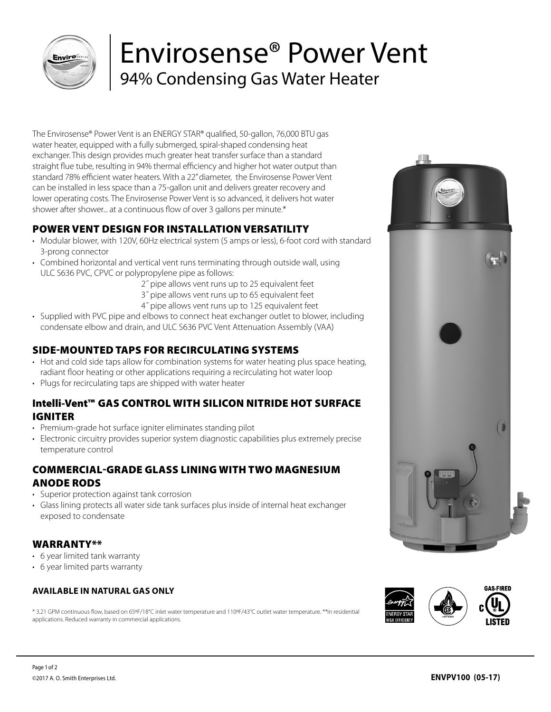

## Envirosense® Power Vent 94% Condensing Gas Water Heater

The Envirosense® Power Vent is an ENERGY STAR® qualified, 50-gallon, 76,000 BTU gas water heater, equipped with a fully submerged, spiral-shaped condensing heat exchanger. This design provides much greater heat transfer surface than a standard straight flue tube, resulting in 94% thermal efficiency and higher hot water output than standard 78% efficient water heaters. With a 22" diameter, the Envirosense Power Vent can be installed in less space than a 75-gallon unit and delivers greater recovery and lower operating costs. The Envirosense Power Vent is so advanced, it delivers hot water shower after shower... at a continuous flow of over 3 gallons per minute.\*

### POWER VENT DESIGN FOR INSTALLATION VERSATILITY

- Modular blower, with 120V, 60Hz electrical system (5 amps or less), 6-foot cord with standard 3-prong connector
- Combined horizontal and vertical vent runs terminating through outside wall, using ULC S636 PVC, CPVC or polypropylene pipe as follows:
	- 2˝ pipe allows vent runs up to 25 equivalent feet
	- 3˝ pipe allows vent runs up to 65 equivalent feet
	- 4˝ pipe allows vent runs up to 125 equivalent feet
- Supplied with PVC pipe and elbows to connect heat exchanger outlet to blower, including condensate elbow and drain, and ULC S636 PVC Vent Attenuation Assembly (VAA)

#### SIDE-MOUNTED TAPS FOR RECIRCULATING SYSTEMS

- Hot and cold side taps allow for combination systems for water heating plus space heating, radiant floor heating or other applications requiring a recirculating hot water loop
- Plugs for recirculating taps are shipped with water heater

#### Intelli-Vent™ GAS CONTROL WITH SILICON NITRIDE HOT SURFACE IGNITER

- Premium-grade hot surface igniter eliminates standing pilot
- Electronic circuitry provides superior system diagnostic capabilities plus extremely precise temperature control

#### COMMERCIAL-GRADE GLASS LINING WITH TWO MAGNESIUM ANODE RODS

- Superior protection against tank corrosion
- Glass lining protects all water side tank surfaces plus inside of internal heat exchanger exposed to condensate

#### WARRANTY\*\*

- 6 year limited tank warranty
- 6 year limited parts warranty

#### **AVAILABLE IN NATURAL GAS ONLY**

\* 3.21 GPM continuous flow, based on 65ºF/18°C inlet water temperature and 110ºF/43°C outlet water temperature. \*\*In residential applications. Reduced warranty in commercial applications.